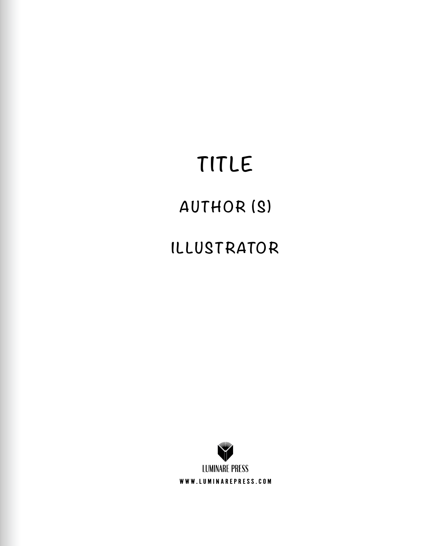## **TITLE**

### **AUTHOR (S)**

### **I LLUSTRATOR**

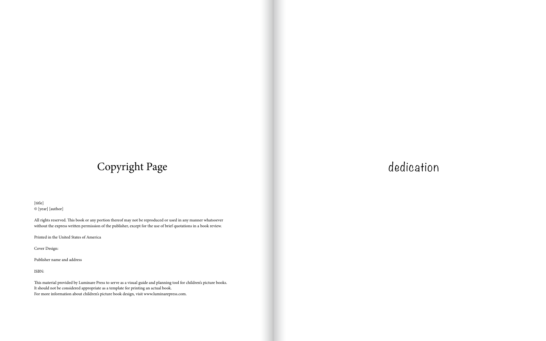## dedication

[title] © [year] [author]

All rights reserved. This book or any portion thereof may not be reproduced or used in any manner whatsoever without the express written permission of the publisher, except for the use of brief quotations in a book review.

Printed in the United States of America

Cover Design:

Publisher name and address

ISBN:

This material provided by Luminare Press to serve as a visual guide and planning tool for children's picture books. It should not be considered appropriate as a template for printing an actual book. For more information about children's picture book design, visit www.luminarepress.com.

## Copyright Page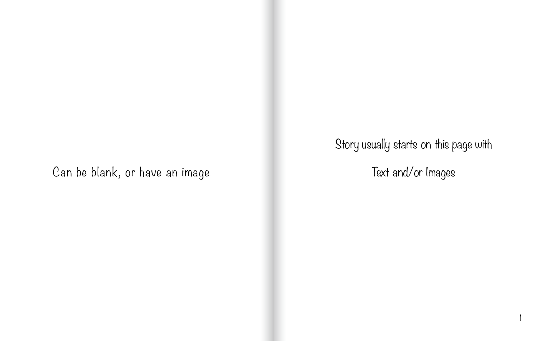1

Text and/or Images

Story usually starts on this page with

Can be blank, or have an image.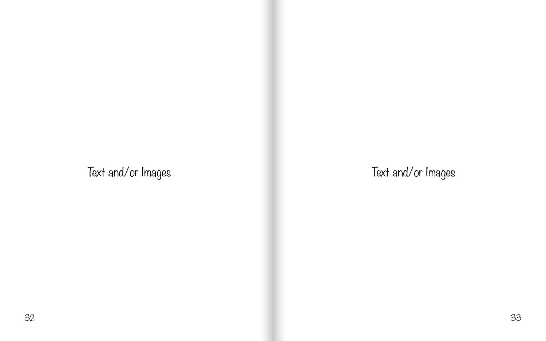